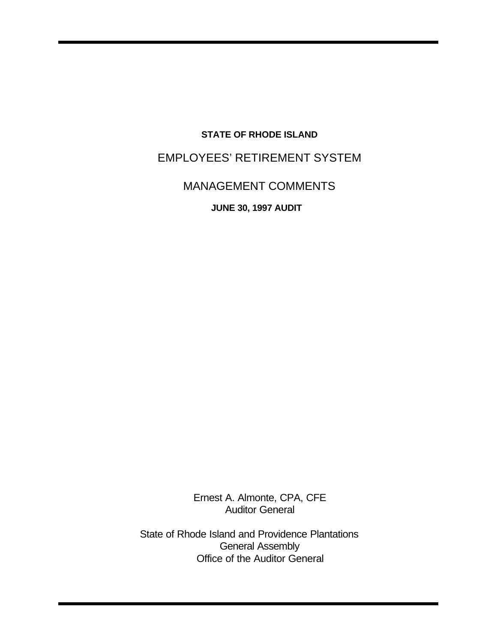## **STATE OF RHODE ISLAND**

# EMPLOYEES' RETIREMENT SYSTEM

# MANAGEMENT COMMENTS

**JUNE 30, 1997 AUDIT** 

Ernest A. Almonte, CPA, CFE Auditor General

State of Rhode Island and Providence Plantations General Assembly Office of the Auditor General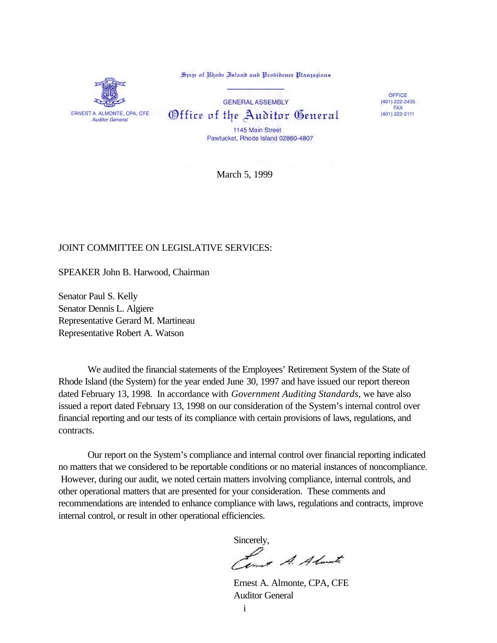ERNEST A. ALMONTE, CPA, CFE **Auditor General** 

State of Rhode Island and Probidence Plantations

**GENERAL ASSEMBLY** Office of the Auditor General

OFFICE  $(401)$  222-2435 FAX (401) 222-2111

1145 Main Street Pawtucket, Rhode Island 02860-4807

March 5, 1999

#### JOINT COMMITTEE ON LEGISLATIVE SERVICES:

SPEAKER John B. Harwood, Chairman

Senator Paul S. Kelly Senator Dennis L. Algiere Representative Gerard M. Martineau Representative Robert A. Watson

We audited the financial statements of the Employees' Retirement System of the State of Rhode Island (the System) for the year ended June 30, 1997 and have issued our report thereon dated February 13, 1998. In accordance with *Government Auditing Standards*, we have also issued a report dated February 13, 1998 on our consideration of the System's internal control over financial reporting and our tests of its compliance with certain provisions of laws, regulations, and contracts.

Our report on the System's compliance and internal control over financial reporting indicated no matters that we considered to be reportable conditions or no material instances of noncompliance. However, during our audit, we noted certain matters involving compliance, internal controls, and other operational matters that are presented for your consideration. These comments and recommendations are intended to enhance compliance with laws, regulations and contracts, improve internal control, or result in other operational efficiencies.

Sincerely,

and A. Almate

Ernest A. Almonte, CPA, CFE Auditor General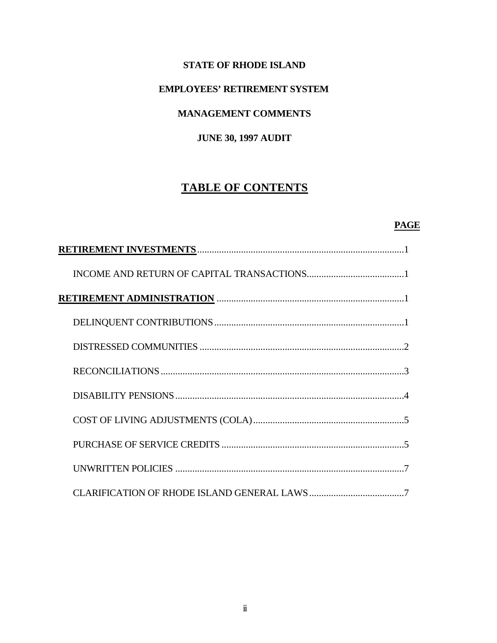## **STATE OF RHODE ISLAND**

## **EMPLOYEES' RETIREMENT SYSTEM**

## **MANAGEMENT COMMENTS**

## **JUNE 30, 1997 AUDIT**

## **TABLE OF CONTENTS**

## **PAGE**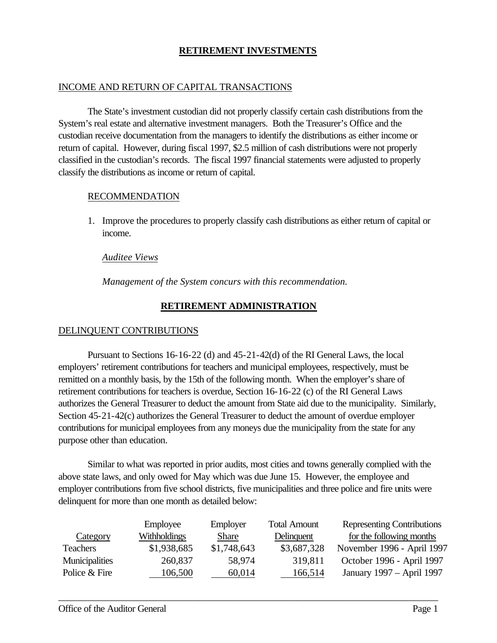## **RETIREMENT INVESTMENTS**

## INCOME AND RETURN OF CAPITAL TRANSACTIONS

The State's investment custodian did not properly classify certain cash distributions from the System's real estate and alternative investment managers. Both the Treasurer's Office and the custodian receive documentation from the managers to identify the distributions as either income or return of capital. However, during fiscal 1997, \$2.5 million of cash distributions were not properly classified in the custodian's records. The fiscal 1997 financial statements were adjusted to properly classify the distributions as income or return of capital.

#### RECOMMENDATION

1. Improve the procedures to properly classify cash distributions as either return of capital or income.

#### *Auditee Views*

*Management of the System concurs with this recommendation.*

## **RETIREMENT ADMINISTRATION**

## DELINQUENT CONTRIBUTIONS

Pursuant to Sections 16-16-22 (d) and 45-21-42(d) of the RI General Laws, the local employers' retirement contributions for teachers and municipal employees, respectively, must be remitted on a monthly basis, by the 15th of the following month. When the employer's share of retirement contributions for teachers is overdue, Section 16-16-22 (c) of the RI General Laws authorizes the General Treasurer to deduct the amount from State aid due to the municipality. Similarly, Section 45-21-42(c) authorizes the General Treasurer to deduct the amount of overdue employer contributions for municipal employees from any moneys due the municipality from the state for any purpose other than education.

Similar to what was reported in prior audits, most cities and towns generally complied with the above state laws, and only owed for May which was due June 15. However, the employee and employer contributions from five school districts, five municipalities and three police and fire units were delinquent for more than one month as detailed below:

|                 | Employee     | Employer    | <b>Total Amount</b> | Representing Contributions |
|-----------------|--------------|-------------|---------------------|----------------------------|
| Category        | Withholdings | Share       | Delinquent          | for the following months   |
| <b>Teachers</b> | \$1,938,685  | \$1,748,643 | \$3,687,328         | November 1996 - April 1997 |
| Municipalities  | 260,837      | 58.974      | 319.811             | October 1996 - April 1997  |
| Police & Fire   | 106,500      | 60,014      | 166,514             | January 1997 - April 1997  |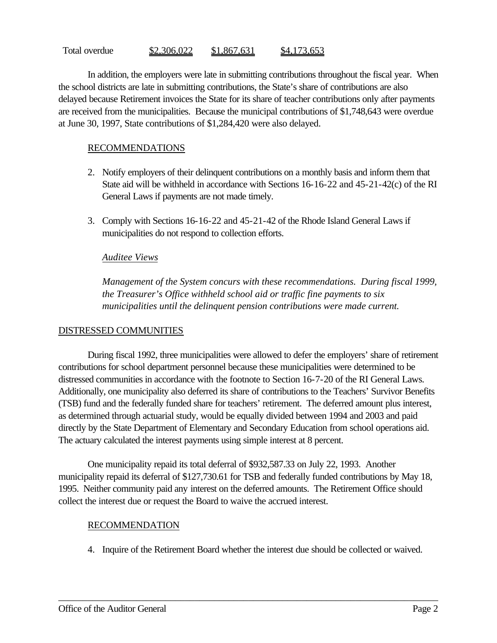#### Total overdue  $$2,306,022$   $$1,867,631$   $$4,173,653$

In addition, the employers were late in submitting contributions throughout the fiscal year. When the school districts are late in submitting contributions, the State's share of contributions are also delayed because Retirement invoices the State for its share of teacher contributions only after payments are received from the municipalities. Because the municipal contributions of \$1,748,643 were overdue at June 30, 1997, State contributions of \$1,284,420 were also delayed.

### RECOMMENDATIONS

- 2. Notify employers of their delinquent contributions on a monthly basis and inform them that State aid will be withheld in accordance with Sections 16-16-22 and 45-21-42(c) of the RI General Laws if payments are not made timely.
- 3. Comply with Sections 16-16-22 and 45-21-42 of the Rhode Island General Laws if municipalities do not respond to collection efforts.

#### *Auditee Views*

*Management of the System concurs with these recommendations. During fiscal 1999, the Treasurer's Office withheld school aid or traffic fine payments to six municipalities until the delinquent pension contributions were made current.* 

## DISTRESSED COMMUNITIES

During fiscal 1992, three municipalities were allowed to defer the employers' share of retirement contributions for school department personnel because these municipalities were determined to be distressed communities in accordance with the footnote to Section 16-7-20 of the RI General Laws. Additionally, one municipality also deferred its share of contributions to the Teachers' Survivor Benefits (TSB) fund and the federally funded share for teachers' retirement. The deferred amount plus interest, as determined through actuarial study, would be equally divided between 1994 and 2003 and paid directly by the State Department of Elementary and Secondary Education from school operations aid. The actuary calculated the interest payments using simple interest at 8 percent.

One municipality repaid its total deferral of \$932,587.33 on July 22, 1993. Another municipality repaid its deferral of \$127,730.61 for TSB and federally funded contributions by May 18, 1995. Neither community paid any interest on the deferred amounts. The Retirement Office should collect the interest due or request the Board to waive the accrued interest.

## RECOMMENDATION

4. Inquire of the Retirement Board whether the interest due should be collected or waived.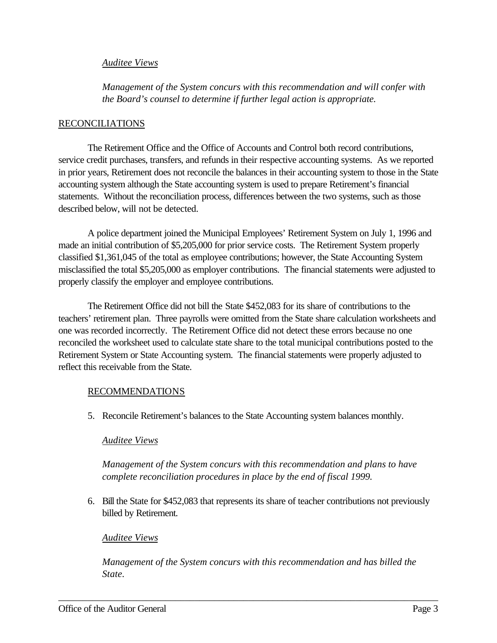### *Auditee Views*

*Management of the System concurs with this recommendation and will confer with the Board's counsel to determine if further legal action is appropriate.*

#### RECONCILIATIONS

The Retirement Office and the Office of Accounts and Control both record contributions, service credit purchases, transfers, and refunds in their respective accounting systems. As we reported in prior years, Retirement does not reconcile the balances in their accounting system to those in the State accounting system although the State accounting system is used to prepare Retirement's financial statements. Without the reconciliation process, differences between the two systems, such as those described below, will not be detected.

A police department joined the Municipal Employees' Retirement System on July 1, 1996 and made an initial contribution of \$5,205,000 for prior service costs. The Retirement System properly classified \$1,361,045 of the total as employee contributions; however, the State Accounting System misclassified the total \$5,205,000 as employer contributions. The financial statements were adjusted to properly classify the employer and employee contributions.

The Retirement Office did not bill the State \$452,083 for its share of contributions to the teachers' retirement plan. Three payrolls were omitted from the State share calculation worksheets and one was recorded incorrectly. The Retirement Office did not detect these errors because no one reconciled the worksheet used to calculate state share to the total municipal contributions posted to the Retirement System or State Accounting system. The financial statements were properly adjusted to reflect this receivable from the State.

#### RECOMMENDATIONS

5. Reconcile Retirement's balances to the State Accounting system balances monthly.

## *Auditee Views*

*Management of the System concurs with this recommendation and plans to have complete reconciliation procedures in place by the end of fiscal 1999.* 

6. Bill the State for \$452,083 that represents its share of teacher contributions not previously billed by Retirement.

#### *Auditee Views*

*Management of the System concurs with this recommendation and has billed the State.*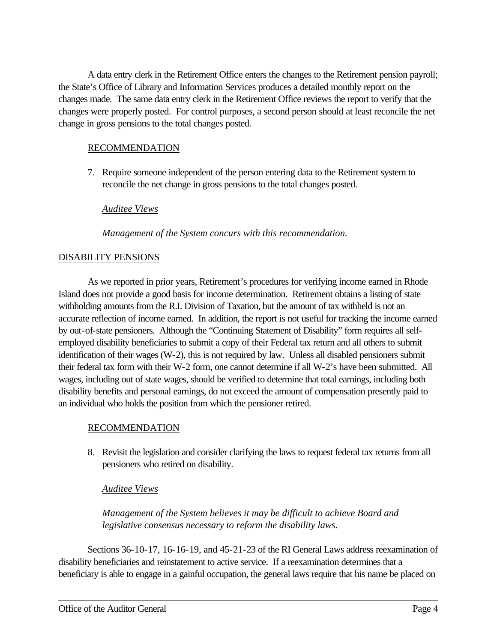A data entry clerk in the Retirement Office enters the changes to the Retirement pension payroll; the State's Office of Library and Information Services produces a detailed monthly report on the changes made. The same data entry clerk in the Retirement Office reviews the report to verify that the changes were properly posted. For control purposes, a second person should at least reconcile the net change in gross pensions to the total changes posted.

## RECOMMENDATION

7. Require someone independent of the person entering data to the Retirement system to reconcile the net change in gross pensions to the total changes posted.

## *Auditee Views*

*Management of the System concurs with this recommendation.*

## DISABILITY PENSIONS

As we reported in prior years, Retirement's procedures for verifying income earned in Rhode Island does not provide a good basis for income determination. Retirement obtains a listing of state withholding amounts from the R.I. Division of Taxation, but the amount of tax withheld is not an accurate reflection of income earned. In addition, the report is not useful for tracking the income earned by out-of-state pensioners. Although the "Continuing Statement of Disability" form requires all selfemployed disability beneficiaries to submit a copy of their Federal tax return and all others to submit identification of their wages (W-2), this is not required by law. Unless all disabled pensioners submit their federal tax form with their W-2 form, one cannot determine if all W-2's have been submitted. All wages, including out of state wages, should be verified to determine that total earnings, including both disability benefits and personal earnings, do not exceed the amount of compensation presently paid to an individual who holds the position from which the pensioner retired.

## RECOMMENDATION

8. Revisit the legislation and consider clarifying the laws to request federal tax returns from all pensioners who retired on disability.

## *Auditee Views*

*Management of the System believes it may be difficult to achieve Board and legislative consensus necessary to reform the disability laws.*

Sections 36-10-17, 16-16-19, and 45-21-23 of the RI General Laws address reexamination of disability beneficiaries and reinstatement to active service. If a reexamination determines that a beneficiary is able to engage in a gainful occupation, the general laws require that his name be placed on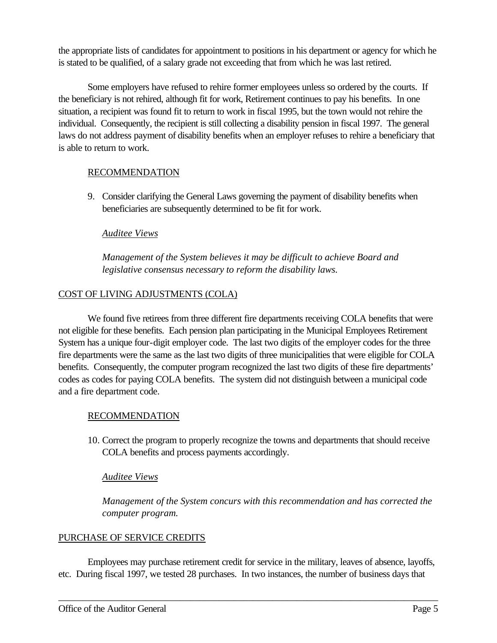the appropriate lists of candidates for appointment to positions in his department or agency for which he is stated to be qualified, of a salary grade not exceeding that from which he was last retired.

Some employers have refused to rehire former employees unless so ordered by the courts. If the beneficiary is not rehired, although fit for work, Retirement continues to pay his benefits. In one situation, a recipient was found fit to return to work in fiscal 1995, but the town would not rehire the individual. Consequently, the recipient is still collecting a disability pension in fiscal 1997. The general laws do not address payment of disability benefits when an employer refuses to rehire a beneficiary that is able to return to work.

## RECOMMENDATION

9. Consider clarifying the General Laws governing the payment of disability benefits when beneficiaries are subsequently determined to be fit for work.

## *Auditee Views*

*Management of the System believes it may be difficult to achieve Board and legislative consensus necessary to reform the disability laws.*

## COST OF LIVING ADJUSTMENTS (COLA)

We found five retirees from three different fire departments receiving COLA benefits that were not eligible for these benefits. Each pension plan participating in the Municipal Employees Retirement System has a unique four-digit employer code. The last two digits of the employer codes for the three fire departments were the same as the last two digits of three municipalities that were eligible for COLA benefits. Consequently, the computer program recognized the last two digits of these fire departments' codes as codes for paying COLA benefits. The system did not distinguish between a municipal code and a fire department code.

## RECOMMENDATION

10. Correct the program to properly recognize the towns and departments that should receive COLA benefits and process payments accordingly.

## *Auditee Views*

*Management of the System concurs with this recommendation and has corrected the computer program.*

## PURCHASE OF SERVICE CREDITS

Employees may purchase retirement credit for service in the military, leaves of absence, layoffs, etc. During fiscal 1997, we tested 28 purchases. In two instances, the number of business days that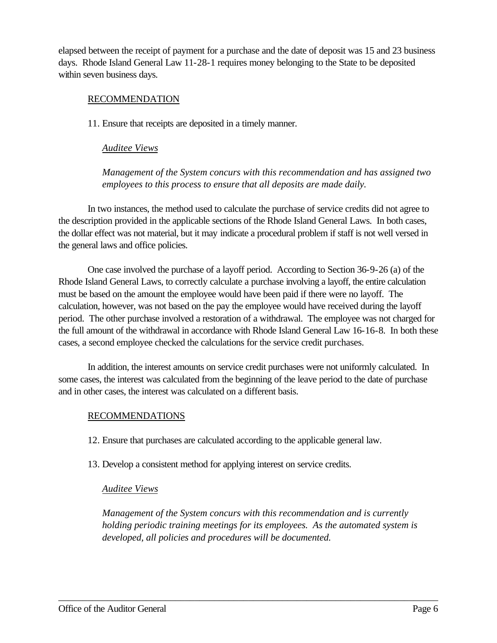elapsed between the receipt of payment for a purchase and the date of deposit was 15 and 23 business days. Rhode Island General Law 11-28-1 requires money belonging to the State to be deposited within seven business days.

### RECOMMENDATION

11. Ensure that receipts are deposited in a timely manner.

### *Auditee Views*

*Management of the System concurs with this recommendation and has assigned two employees to this process to ensure that all deposits are made daily.*

In two instances, the method used to calculate the purchase of service credits did not agree to the description provided in the applicable sections of the Rhode Island General Laws. In both cases, the dollar effect was not material, but it may indicate a procedural problem if staff is not well versed in the general laws and office policies.

One case involved the purchase of a layoff period. According to Section 36-9-26 (a) of the Rhode Island General Laws, to correctly calculate a purchase involving a layoff, the entire calculation must be based on the amount the employee would have been paid if there were no layoff. The calculation, however, was not based on the pay the employee would have received during the layoff period. The other purchase involved a restoration of a withdrawal. The employee was not charged for the full amount of the withdrawal in accordance with Rhode Island General Law 16-16-8. In both these cases, a second employee checked the calculations for the service credit purchases.

In addition, the interest amounts on service credit purchases were not uniformly calculated. In some cases, the interest was calculated from the beginning of the leave period to the date of purchase and in other cases, the interest was calculated on a different basis.

## RECOMMENDATIONS

- 12. Ensure that purchases are calculated according to the applicable general law.
- 13. Develop a consistent method for applying interest on service credits.

## *Auditee Views*

*Management of the System concurs with this recommendation and is currently holding periodic training meetings for its employees. As the automated system is developed, all policies and procedures will be documented.*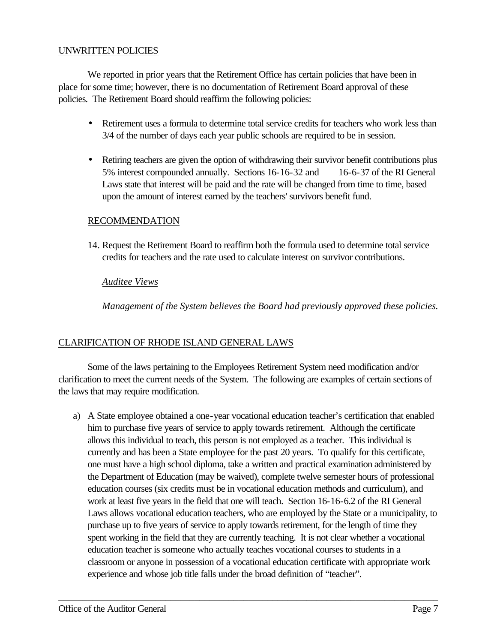## UNWRITTEN POLICIES

We reported in prior years that the Retirement Office has certain policies that have been in place for some time; however, there is no documentation of Retirement Board approval of these policies. The Retirement Board should reaffirm the following policies:

- Retirement uses a formula to determine total service credits for teachers who work less than 3/4 of the number of days each year public schools are required to be in session.
- Retiring teachers are given the option of withdrawing their survivor benefit contributions plus 5% interest compounded annually. Sections 16-16-32 and 16-6-37 of the RI General Laws state that interest will be paid and the rate will be changed from time to time, based upon the amount of interest earned by the teachers' survivors benefit fund.

## RECOMMENDATION

14. Request the Retirement Board to reaffirm both the formula used to determine total service credits for teachers and the rate used to calculate interest on survivor contributions.

#### *Auditee Views*

*Management of the System believes the Board had previously approved these policies.*

## CLARIFICATION OF RHODE ISLAND GENERAL LAWS

Some of the laws pertaining to the Employees Retirement System need modification and/or clarification to meet the current needs of the System. The following are examples of certain sections of the laws that may require modification.

a) A State employee obtained a one-year vocational education teacher's certification that enabled him to purchase five years of service to apply towards retirement. Although the certificate allows this individual to teach, this person is not employed as a teacher. This individual is currently and has been a State employee for the past 20 years. To qualify for this certificate, one must have a high school diploma, take a written and practical examination administered by the Department of Education (may be waived), complete twelve semester hours of professional education courses (six credits must be in vocational education methods and curriculum), and work at least five years in the field that one will teach. Section 16-16-6.2 of the RI General Laws allows vocational education teachers, who are employed by the State or a municipality, to purchase up to five years of service to apply towards retirement, for the length of time they spent working in the field that they are currently teaching. It is not clear whether a vocational education teacher is someone who actually teaches vocational courses to students in a classroom or anyone in possession of a vocational education certificate with appropriate work experience and whose job title falls under the broad definition of "teacher".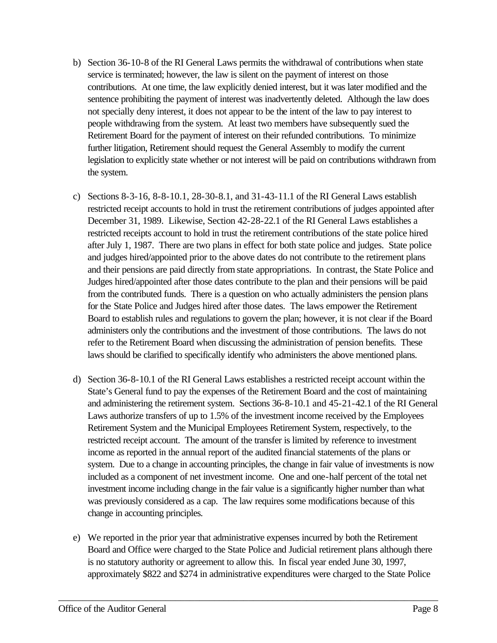- b) Section 36-10-8 of the RI General Laws permits the withdrawal of contributions when state service is terminated; however, the law is silent on the payment of interest on those contributions. At one time, the law explicitly denied interest, but it was later modified and the sentence prohibiting the payment of interest was inadvertently deleted. Although the law does not specially deny interest, it does not appear to be the intent of the law to pay interest to people withdrawing from the system. At least two members have subsequently sued the Retirement Board for the payment of interest on their refunded contributions. To minimize further litigation, Retirement should request the General Assembly to modify the current legislation to explicitly state whether or not interest will be paid on contributions withdrawn from the system.
- c) Sections 8-3-16, 8-8-10.1, 28-30-8.1, and 31-43-11.1 of the RI General Laws establish restricted receipt accounts to hold in trust the retirement contributions of judges appointed after December 31, 1989. Likewise, Section 42-28-22.1 of the RI General Laws establishes a restricted receipts account to hold in trust the retirement contributions of the state police hired after July 1, 1987. There are two plans in effect for both state police and judges. State police and judges hired/appointed prior to the above dates do not contribute to the retirement plans and their pensions are paid directly from state appropriations. In contrast, the State Police and Judges hired/appointed after those dates contribute to the plan and their pensions will be paid from the contributed funds. There is a question on who actually administers the pension plans for the State Police and Judges hired after those dates. The laws empower the Retirement Board to establish rules and regulations to govern the plan; however, it is not clear if the Board administers only the contributions and the investment of those contributions. The laws do not refer to the Retirement Board when discussing the administration of pension benefits. These laws should be clarified to specifically identify who administers the above mentioned plans.
- d) Section 36-8-10.1 of the RI General Laws establishes a restricted receipt account within the State's General fund to pay the expenses of the Retirement Board and the cost of maintaining and administering the retirement system. Sections 36-8-10.1 and 45-21-42.1 of the RI General Laws authorize transfers of up to 1.5% of the investment income received by the Employees Retirement System and the Municipal Employees Retirement System, respectively, to the restricted receipt account. The amount of the transfer is limited by reference to investment income as reported in the annual report of the audited financial statements of the plans or system. Due to a change in accounting principles, the change in fair value of investments is now included as a component of net investment income. One and one-half percent of the total net investment income including change in the fair value is a significantly higher number than what was previously considered as a cap. The law requires some modifications because of this change in accounting principles.
- e) We reported in the prior year that administrative expenses incurred by both the Retirement Board and Office were charged to the State Police and Judicial retirement plans although there is no statutory authority or agreement to allow this. In fiscal year ended June 30, 1997, approximately \$822 and \$274 in administrative expenditures were charged to the State Police